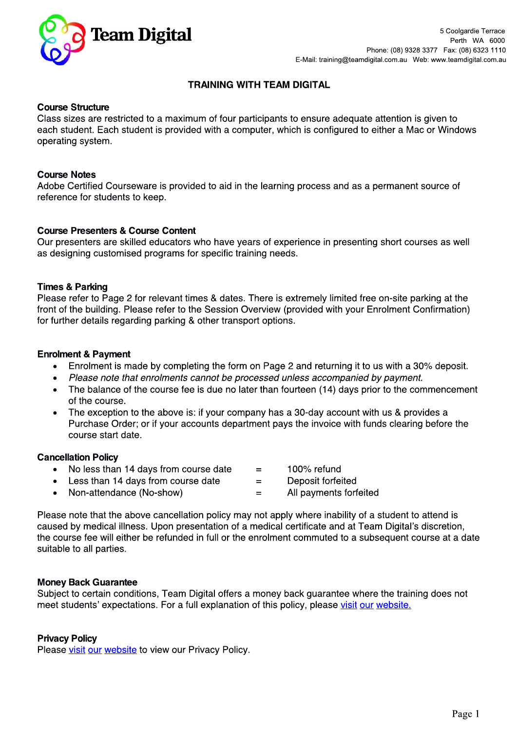

# **TRAINING WITH TEAM DIGITAL**

## **Course Structure**

Class sizes are restricted to a maximum of four participants to ensure adequate attention is given to each student. Each student is provided with a computer, which is configured to either a Mac or Windows operating system.

#### **Course Notes**

Adobe Certified Courseware is provided to aid in the learning process and as a permanent source of reference for students to keep.

## **Course Presenters & Course Content**

Our presenters are skilled educators who have years of experience in presenting short courses as well as designing customised programs for specific training needs.

#### **Times & Parking**

Please refer to Page 2 for relevant times & dates. There is extremely limited free on-site parking at the front of the building. Please refer to the Session Overview (provided with your Enrolment Confirmation) for further details regarding parking & other transport options.

#### **Enrolment & Payment**

- Enrolment is made by completing the form on Page 2 and returning it to us with a 30% deposit.
- Please note that enrolments cannot be processed unless accompanied by payment.
- The balance of the course fee is due no later than fourteen (14) days prior to the commencement of the course.
- The exception to the above is: if your company has a 30-day account with us & provides a  $\bullet$ Purchase Order; or if your accounts department pays the invoice with funds clearing before the course start date.

 $=$ 

Deposit forfeited

#### **Cancellation Policy**

- No less than 14 days from course date 100% refund  $=$
- Less than 14 days from course date  $\bullet$
- Non-attendance (No-show) All payments forfeited  $\bullet$  $=$

Please note that the above cancellation policy may not apply where inability of a student to attend is caused by medical illness. Upon presentation of a medical certificate and at Team Digital's discretion, the course fee will either be refunded in full or the enrolment commuted to a subsequent course at a date suitable to all parties.

## **Money Back Guarantee**

Subject to certain conditions, Team Digital offers a money back guarantee where the training does not meet students' expectations. For a full explanation of this policy, please visit our website.

## **Privacy Policy**

Please visit our website to view our Privacy Policy.